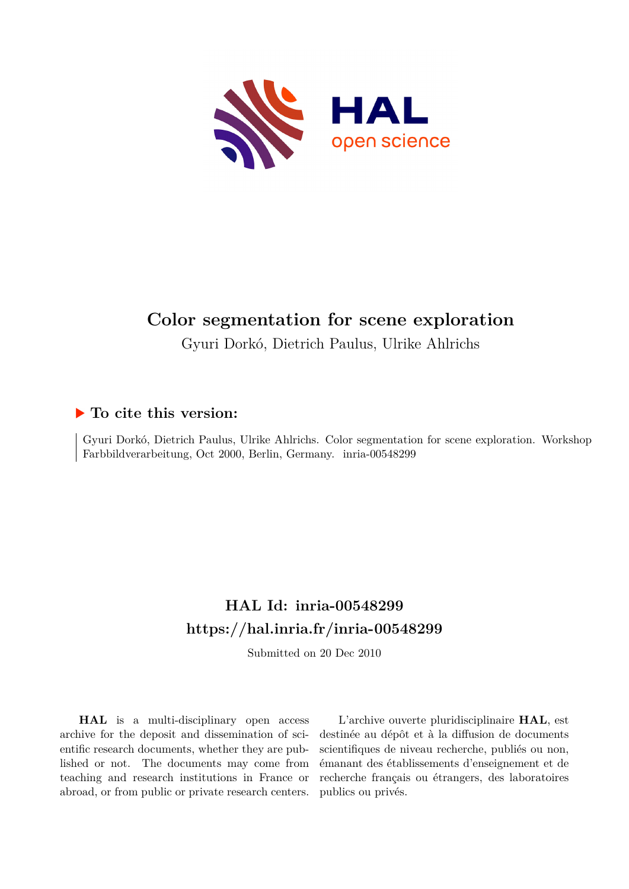

### **Color segmentation for scene exploration**

Gyuri Dorkó, Dietrich Paulus, Ulrike Ahlrichs

#### **To cite this version:**

Gyuri Dorkó, Dietrich Paulus, Ulrike Ahlrichs. Color segmentation for scene exploration. Workshop Farbbildverarbeitung, Oct 2000, Berlin, Germany. inria-00548299

### **HAL Id: inria-00548299 <https://hal.inria.fr/inria-00548299>**

Submitted on 20 Dec 2010

**HAL** is a multi-disciplinary open access archive for the deposit and dissemination of scientific research documents, whether they are published or not. The documents may come from teaching and research institutions in France or abroad, or from public or private research centers.

L'archive ouverte pluridisciplinaire **HAL**, est destinée au dépôt et à la diffusion de documents scientifiques de niveau recherche, publiés ou non, émanant des établissements d'enseignement et de recherche français ou étrangers, des laboratoires publics ou privés.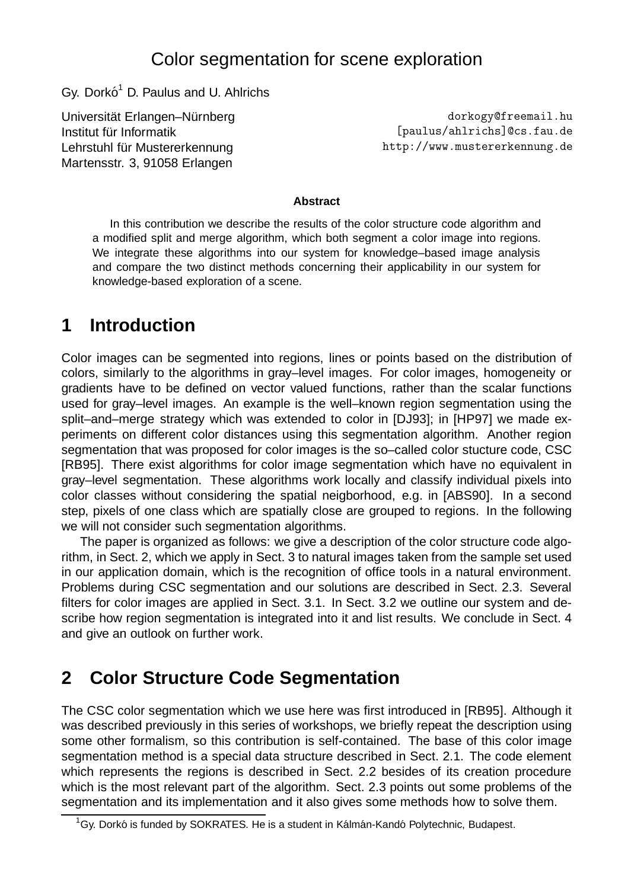### Color segmentation for scene exploration

Gy. Dorkó<sup>1</sup> D. Paulus and U. Ahlrichs

Universität Erlangen–Nürnberg Institut für Informatik Lehrstuhl für Mustererkennung Martensstr. 3, 91058 Erlangen

dorkogy@freemail.hu [paulus/ahlrichs]@cs.fau.de http://www.mustererkennung.de

#### **Abstract**

In this contribution we describe the results of the color structure code algorithm and a modified split and merge algorithm, which both segment a color image into regions. We integrate these algorithms into our system for knowledge–based image analysis and compare the two distinct methods concerning their applicability in our system for knowledge-based exploration of a scene.

### **1 Introduction**

Color images can be segmented into regions, lines or points based on the distribution of colors, similarly to the algorithms in gray–level images. For color images, homogeneity or gradients have to be defined on vector valued functions, rather than the scalar functions used for gray–level images. An example is the well–known region segmentation using the split–and–merge strategy which was extended to color in [DJ93]; in [HP97] we made experiments on different color distances using this segmentation algorithm. Another region segmentation that was proposed for color images is the so–called color stucture code, CSC [RB95]. There exist algorithms for color image segmentation which have no equivalent in gray–level segmentation. These algorithms work locally and classify individual pixels into color classes without considering the spatial neigborhood, e.g. in [ABS90]. In a second step, pixels of one class which are spatially close are grouped to regions. In the following we will not consider such segmentation algorithms.

The paper is organized as follows: we give a description of the color structure code algorithm, in Sect. 2, which we apply in Sect. 3 to natural images taken from the sample set used in our application domain, which is the recognition of office tools in a natural environment. Problems during CSC segmentation and our solutions are described in Sect. 2.3. Several filters for color images are applied in Sect. 3.1. In Sect. 3.2 we outline our system and describe how region segmentation is integrated into it and list results. We conclude in Sect. 4 and give an outlook on further work.

## **2 Color Structure Code Segmentation**

The CSC color segmentation which we use here was first introduced in [RB95]. Although it was described previously in this series of workshops, we briefly repeat the description using some other formalism, so this contribution is self-contained. The base of this color image segmentation method is a special data structure described in Sect. 2.1. The code element which represents the regions is described in Sect. 2.2 besides of its creation procedure which is the most relevant part of the algorithm. Sect. 2.3 points out some problems of the segmentation and its implementation and it also gives some methods how to solve them.

 $^{1}$ Gy. Dorkó is funded by SOKRATES. He is a student in Kálmán-Kandó Polytechnic, Budapest.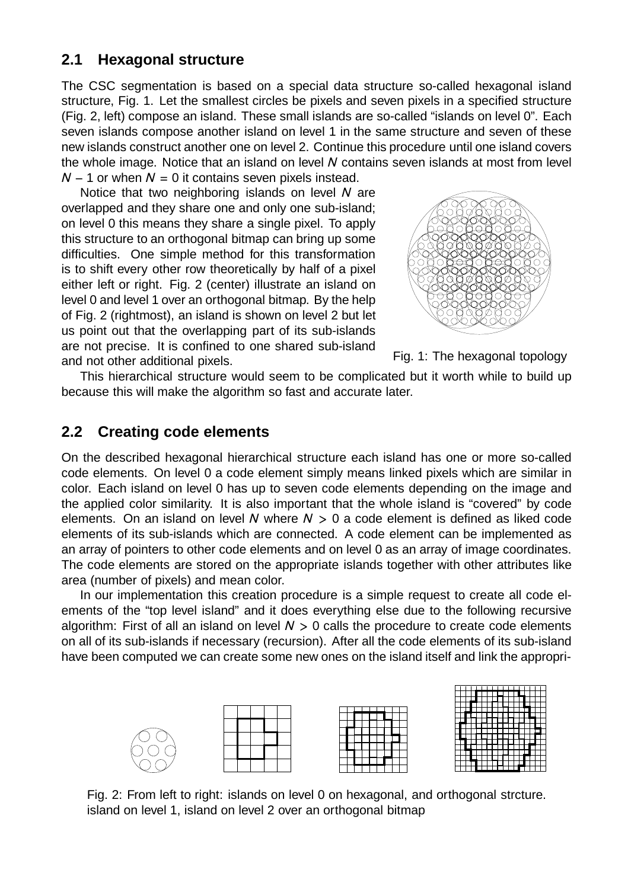### **2.1 Hexagonal structure**

The CSC segmentation is based on a special data structure so-called hexagonal island structure, Fig. 1. Let the smallest circles be pixels and seven pixels in a specified structure (Fig. 2, left) compose an island. These small islands are so-called "islands on level 0". Each seven islands compose another island on level 1 in the same structure and seven of these new islands construct another one on level 2. Continue this procedure until one island covers the whole image. Notice that an island on level *N* contains seven islands at most from level *N* − 1 or when *N* = 0 it contains seven pixels instead.

Notice that two neighboring islands on level *N* are overlapped and they share one and only one sub-island; on level 0 this means they share a single pixel. To apply this structure to an orthogonal bitmap can bring up some difficulties. One simple method for this transformation is to shift every other row theoretically by half of a pixel either left or right. Fig. 2 (center) illustrate an island on level 0 and level 1 over an orthogonal bitmap. By the help of Fig. 2 (rightmost), an island is shown on level 2 but let us point out that the overlapping part of its sub-islands are not precise. It is confined to one shared sub-island and not other additional pixels.





This hierarchical structure would seem to be complicated but it worth while to build up because this will make the algorithm so fast and accurate later.

#### **2.2 Creating code elements**

On the described hexagonal hierarchical structure each island has one or more so-called code elements. On level 0 a code element simply means linked pixels which are similar in color. Each island on level 0 has up to seven code elements depending on the image and the applied color similarity. It is also important that the whole island is "covered" by code elements. On an island on level *N* where *N >* 0 a code element is defined as liked code elements of its sub-islands which are connected. A code element can be implemented as an array of pointers to other code elements and on level 0 as an array of image coordinates. The code elements are stored on the appropriate islands together with other attributes like area (number of pixels) and mean color.

In our implementation this creation procedure is a simple request to create all code elements of the "top level island" and it does everything else due to the following recursive algorithm: First of all an island on level *N >* 0 calls the procedure to create code elements on all of its sub-islands if necessary (recursion). After all the code elements of its sub-island have been computed we can create some new ones on the island itself and link the appropri-



Fig. 2: From left to right: islands on level 0 on hexagonal, and orthogonal strcture. island on level 1, island on level 2 over an orthogonal bitmap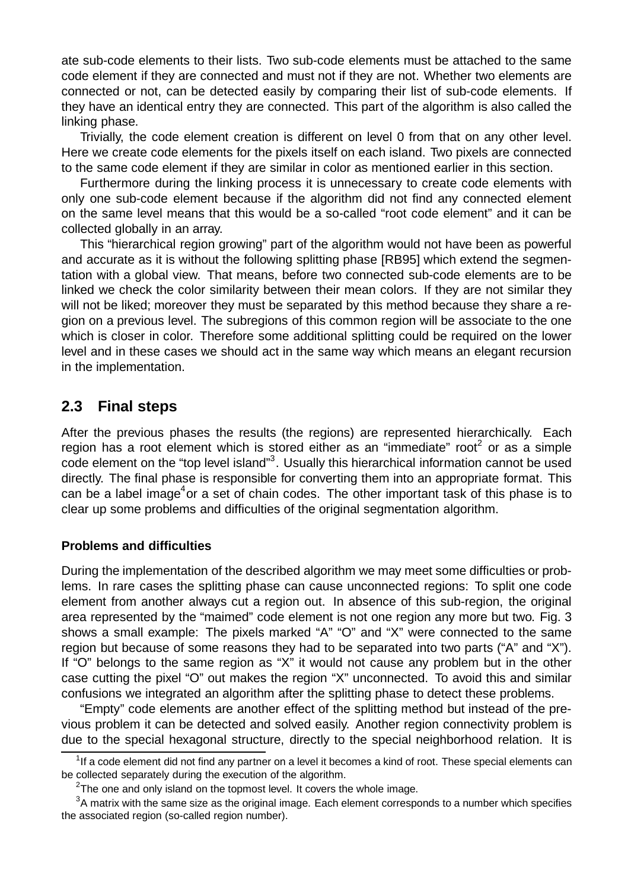ate sub-code elements to their lists. Two sub-code elements must be attached to the same code element if they are connected and must not if they are not. Whether two elements are connected or not, can be detected easily by comparing their list of sub-code elements. If they have an identical entry they are connected. This part of the algorithm is also called the linking phase.

Trivially, the code element creation is different on level 0 from that on any other level. Here we create code elements for the pixels itself on each island. Two pixels are connected to the same code element if they are similar in color as mentioned earlier in this section.

Furthermore during the linking process it is unnecessary to create code elements with only one sub-code element because if the algorithm did not find any connected element on the same level means that this would be a so-called "root code element" and it can be collected globally in an array.

This "hierarchical region growing" part of the algorithm would not have been as powerful and accurate as it is without the following splitting phase [RB95] which extend the segmentation with a global view. That means, before two connected sub-code elements are to be linked we check the color similarity between their mean colors. If they are not similar they will not be liked; moreover they must be separated by this method because they share a region on a previous level. The subregions of this common region will be associate to the one which is closer in color. Therefore some additional splitting could be required on the lower level and in these cases we should act in the same way which means an elegant recursion in the implementation.

#### **2.3 Final steps**

After the previous phases the results (the regions) are represented hierarchically. Each region has a root element which is stored either as an "immediate" root<sup>2</sup> or as a simple code element on the "top level island"<sup>3</sup>. Usually this hierarchical information cannot be used directly. The final phase is responsible for converting them into an appropriate format. This can be a label image<sup>4</sup> or a set of chain codes. The other important task of this phase is to clear up some problems and difficulties of the original segmentation algorithm.

#### **Problems and difficulties**

During the implementation of the described algorithm we may meet some difficulties or problems. In rare cases the splitting phase can cause unconnected regions: To split one code element from another always cut a region out. In absence of this sub-region, the original area represented by the "maimed" code element is not one region any more but two. Fig. 3 shows a small example: The pixels marked "A" "O" and "X" were connected to the same region but because of some reasons they had to be separated into two parts ("A" and "X"). If "O" belongs to the same region as "X" it would not cause any problem but in the other case cutting the pixel "O" out makes the region "X" unconnected. To avoid this and similar confusions we integrated an algorithm after the splitting phase to detect these problems.

"Empty" code elements are another effect of the splitting method but instead of the previous problem it can be detected and solved easily. Another region connectivity problem is due to the special hexagonal structure, directly to the special neighborhood relation. It is

 $1$ If a code element did not find any partner on a level it becomes a kind of root. These special elements can be collected separately during the execution of the algorithm.

 $2$ The one and only island on the topmost level. It covers the whole image.

 ${}^{3}$ A matrix with the same size as the original image. Each element corresponds to a number which specifies the associated region (so-called region number).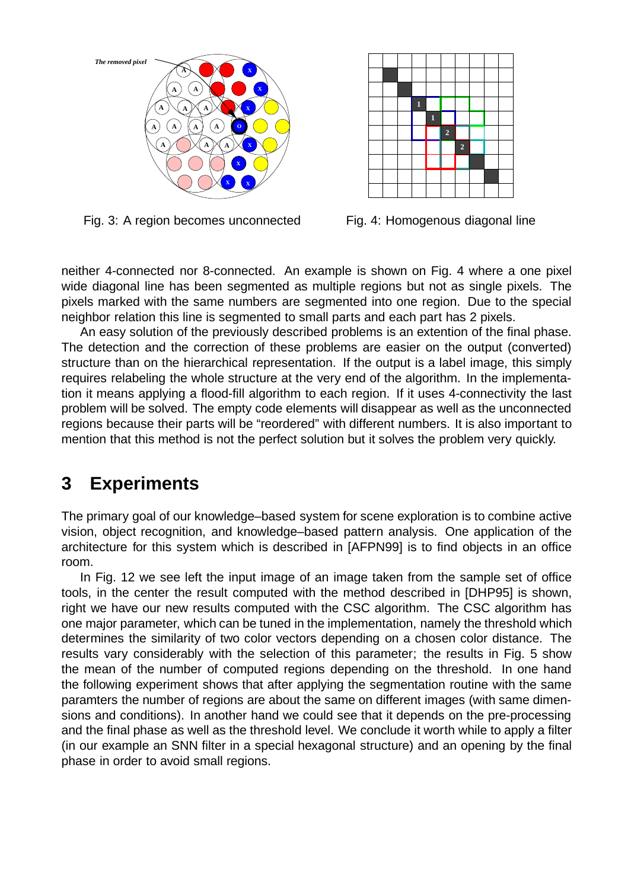

Fig. 3: A region becomes unconnected



Fig. 4: Homogenous diagonal line

neither 4-connected nor 8-connected. An example is shown on Fig. 4 where a one pixel wide diagonal line has been segmented as multiple regions but not as single pixels. The pixels marked with the same numbers are segmented into one region. Due to the special neighbor relation this line is segmented to small parts and each part has 2 pixels.

An easy solution of the previously described problems is an extention of the final phase. The detection and the correction of these problems are easier on the output (converted) structure than on the hierarchical representation. If the output is a label image, this simply requires relabeling the whole structure at the very end of the algorithm. In the implementation it means applying a flood-fill algorithm to each region. If it uses 4-connectivity the last problem will be solved. The empty code elements will disappear as well as the unconnected regions because their parts will be "reordered" with different numbers. It is also important to mention that this method is not the perfect solution but it solves the problem very quickly.

## **3 Experiments**

The primary goal of our knowledge–based system for scene exploration is to combine active vision, object recognition, and knowledge–based pattern analysis. One application of the architecture for this system which is described in [AFPN99] is to find objects in an office room.

In Fig. 12 we see left the input image of an image taken from the sample set of office tools, in the center the result computed with the method described in [DHP95] is shown, right we have our new results computed with the CSC algorithm. The CSC algorithm has one major parameter, which can be tuned in the implementation, namely the threshold which determines the similarity of two color vectors depending on a chosen color distance. The results vary considerably with the selection of this parameter; the results in Fig. 5 show the mean of the number of computed regions depending on the threshold. In one hand the following experiment shows that after applying the segmentation routine with the same paramters the number of regions are about the same on different images (with same dimensions and conditions). In another hand we could see that it depends on the pre-processing and the final phase as well as the threshold level. We conclude it worth while to apply a filter (in our example an SNN filter in a special hexagonal structure) and an opening by the final phase in order to avoid small regions.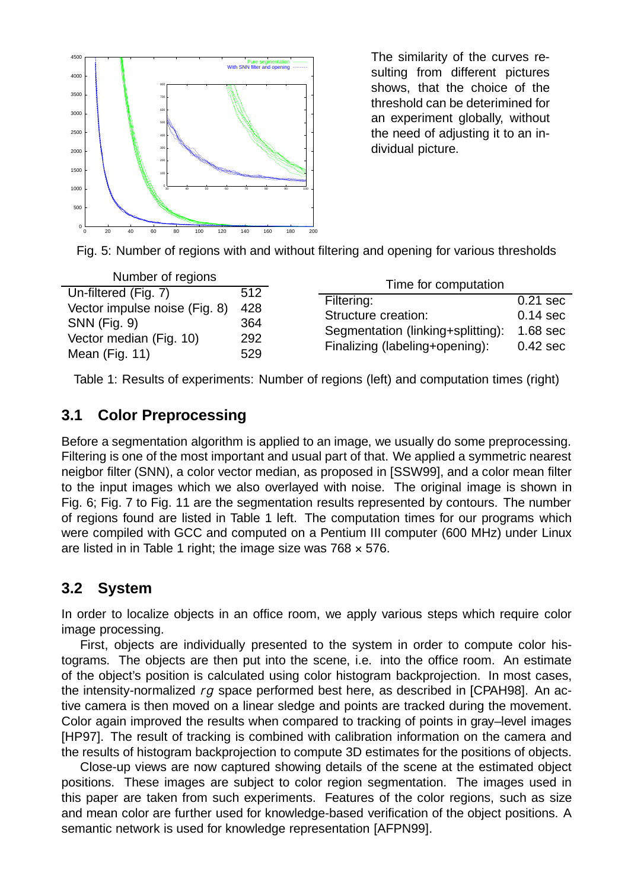

The similarity of the curves resulting from different pictures shows, that the choice of the threshold can be deterimined for an experiment globally, without the need of adjusting it to an individual picture.



| Number of regions                                                                                                         |                                 | Time for computation                                                                                     |                                                               |
|---------------------------------------------------------------------------------------------------------------------------|---------------------------------|----------------------------------------------------------------------------------------------------------|---------------------------------------------------------------|
| Un-filtered (Fig. 7)<br>Vector impulse noise (Fig. 8)<br><b>SNN</b> (Fig. 9)<br>Vector median (Fig. 10)<br>Mean (Fig. 11) | 512<br>428<br>364<br>292<br>529 | Filtering:<br>Structure creation:<br>Segmentation (linking+splitting):<br>Finalizing (labeling+opening): | $0.21$ sec<br>$0.14$ sec<br>1.68 <sub>sec</sub><br>$0.42$ sec |

Table 1: Results of experiments: Number of regions (left) and computation times (right)

### **3.1 Color Preprocessing**

Before a segmentation algorithm is applied to an image, we usually do some preprocessing. Filtering is one of the most important and usual part of that. We applied a symmetric nearest neigbor filter (SNN), a color vector median, as proposed in [SSW99], and a color mean filter to the input images which we also overlayed with noise. The original image is shown in Fig. 6; Fig. 7 to Fig. 11 are the segmentation results represented by contours. The number of regions found are listed in Table 1 left. The computation times for our programs which were compiled with GCC and computed on a Pentium III computer (600 MHz) under Linux are listed in in Table 1 right; the image size was  $768 \times 576$ .

#### **3.2 System**

In order to localize objects in an office room, we apply various steps which require color image processing.

First, objects are individually presented to the system in order to compute color histograms. The objects are then put into the scene, i.e. into the office room. An estimate of the object's position is calculated using color histogram backprojection. In most cases, the intensity-normalized *rg* space performed best here, as described in [CPAH98]. An active camera is then moved on a linear sledge and points are tracked during the movement. Color again improved the results when compared to tracking of points in gray–level images [HP97]. The result of tracking is combined with calibration information on the camera and the results of histogram backprojection to compute 3D estimates for the positions of objects.

Close-up views are now captured showing details of the scene at the estimated object positions. These images are subject to color region segmentation. The images used in this paper are taken from such experiments. Features of the color regions, such as size and mean color are further used for knowledge-based verification of the object positions. A semantic network is used for knowledge representation [AFPN99].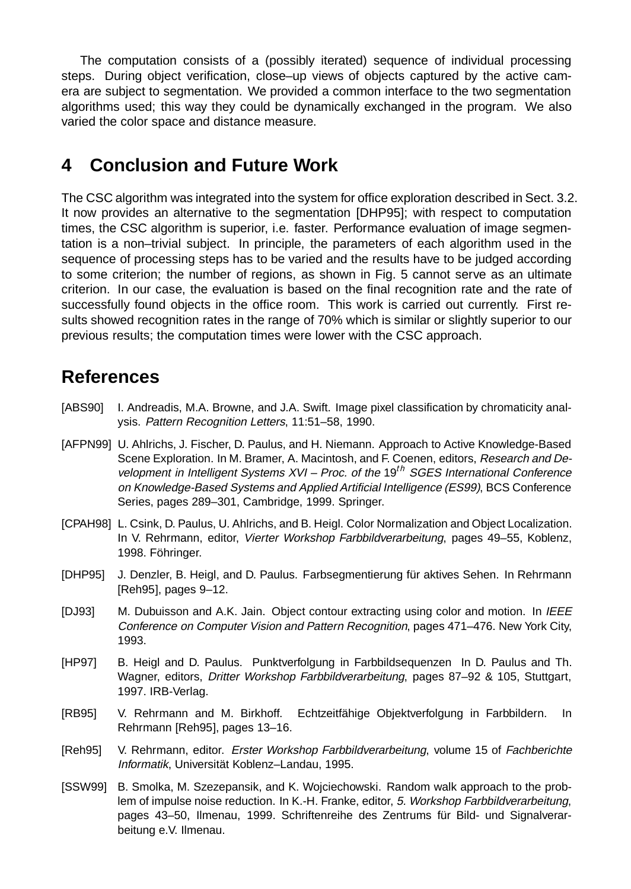The computation consists of a (possibly iterated) sequence of individual processing steps. During object verification, close–up views of objects captured by the active camera are subject to segmentation. We provided a common interface to the two segmentation algorithms used; this way they could be dynamically exchanged in the program. We also varied the color space and distance measure.

### **4 Conclusion and Future Work**

The CSC algorithm was integrated into the system for office exploration described in Sect. 3.2. It now provides an alternative to the segmentation [DHP95]; with respect to computation times, the CSC algorithm is superior, i.e. faster. Performance evaluation of image segmentation is a non–trivial subject. In principle, the parameters of each algorithm used in the sequence of processing steps has to be varied and the results have to be judged according to some criterion; the number of regions, as shown in Fig. 5 cannot serve as an ultimate criterion. In our case, the evaluation is based on the final recognition rate and the rate of successfully found objects in the office room. This work is carried out currently. First results showed recognition rates in the range of 70% which is similar or slightly superior to our previous results; the computation times were lower with the CSC approach.

### **References**

- [ABS90] I. Andreadis, M.A. Browne, and J.A. Swift. Image pixel classification by chromaticity analysis. Pattern Recognition Letters, 11:51–58, 1990.
- [AFPN99] U. Ahlrichs, J. Fischer, D. Paulus, and H. Niemann. Approach to Active Knowledge-Based Scene Exploration. In M. Bramer, A. Macintosh, and F. Coenen, editors, Research and Development in Intelligent Systems XVI – Proc. of the 19*th* SGES International Conference on Knowledge-Based Systems and Applied Artificial Intelligence (ES99), BCS Conference Series, pages 289–301, Cambridge, 1999. Springer.
- [CPAH98] L. Csink, D. Paulus, U. Ahlrichs, and B. Heigl. Color Normalization and Object Localization. In V. Rehrmann, editor, Vierter Workshop Farbbildverarbeitung, pages 49–55, Koblenz, 1998. Föhringer.
- [DHP95] J. Denzler, B. Heigl, and D. Paulus. Farbsegmentierung für aktives Sehen. In Rehrmann [Reh95], pages 9–12.
- [DJ93] M. Dubuisson and A.K. Jain. Object contour extracting using color and motion. In IEEE Conference on Computer Vision and Pattern Recognition, pages 471–476. New York City, 1993.
- [HP97] B. Heigl and D. Paulus. Punktverfolgung in Farbbildsequenzen In D. Paulus and Th. Wagner, editors, Dritter Workshop Farbbildverarbeitung, pages 87–92 & 105, Stuttgart, 1997. IRB-Verlag.
- [RB95] V. Rehrmann and M. Birkhoff. Echtzeitfähige Objektverfolgung in Farbbildern. In Rehrmann [Reh95], pages 13–16.
- [Reh95] V. Rehrmann, editor. Erster Workshop Farbbildverarbeitung, volume 15 of Fachberichte Informatik, Universität Koblenz–Landau, 1995.
- [SSW99] B. Smolka, M. Szezepansik, and K. Wojciechowski. Random walk approach to the problem of impulse noise reduction. In K.-H. Franke, editor, 5. Workshop Farbbildverarbeitung, pages 43–50, Ilmenau, 1999. Schriftenreihe des Zentrums für Bild- und Signalverarbeitung e.V. Ilmenau.